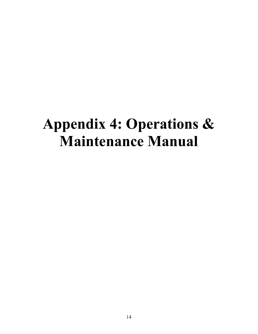# **Appendix 4: Operations & Maintenance Manual**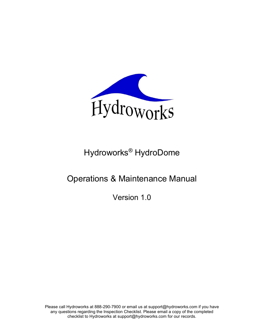

# Hydroworks® HydroDome

# Operations & Maintenance Manual

Version 1.0

Please call Hydroworks at 888-290-7900 or email us at support@hydroworks.com if you have any questions regarding the Inspection Checklist. Please email a copy of the completed checklist to Hydroworks at support@hydroworks.com for our records.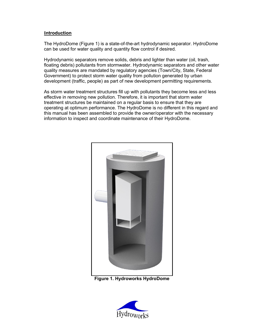#### **Introduction**

The HydroDome (Figure 1) is a state-of-the-art hydrodynamic separator. HydroDome can be used for water quality and quantity flow control if desired.

Hydrodynamic separators remove solids, debris and lighter than water (oil, trash, floating debris) pollutants from stormwater. Hydrodynamic separators and other water quality measures are mandated by regulatory agencies (Town/City, State, Federal Government) to protect storm water quality from pollution generated by urban development (traffic, people) as part of new development permitting requirements.

As storm water treatment structures fill up with pollutants they become less and less effective in removing new pollution. Therefore, it is important that storm water treatment structures be maintained on a regular basis to ensure that they are operating at optimum performance. The HydroDome is no different in this regard and this manual has been assembled to provide the owner/operator with the necessary information to inspect and coordinate maintenance of their HydroDome.



**Figure 1. Hydroworks HydroDome**

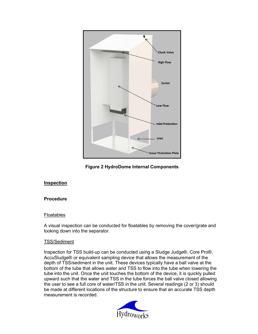

**Figure 2 HydroDome Internal Components**

#### **Inspection**

#### **Procedure**

#### Floatables

A visual inspection can be conducted for floatables by removing the cover/grate and looking down into the separator.

#### TSS/Sediment

Inspection for TSS build-up can be conducted using a Sludge Judge®, Core Pro®, AccuSludge® or equivalent sampling device that allows the measurement of the depth of TSS/sediment in the unit. These devices typically have a ball valve at the bottom of the tube that allows water and TSS to flow into the tube when lowering the tube into the unit. Once the unit touches the bottom of the device, it is quickly pulled upward such that the water and TSS in the tube forces the ball valve closed allowing the user to see a full core of water/TSS in the unit. Several readings (2 or 3) should be made at different locations of the structure to ensure that an accurate TSS depth measurement is recorded.

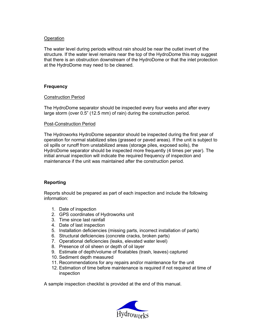#### **Operation**

The water level during periods without rain should be near the outlet invert of the structure. If the water level remains near the top of the HydroDome this may suggest that there is an obstruction downstream of the HydroDome or that the inlet protection at the HydroDome may need to be cleaned.

#### **Frequency**

#### Construction Period

The HydroDome separator should be inspected every four weeks and after every large storm (over 0.5" (12.5 mm) of rain) during the construction period.

#### Post-Construction Period

The Hydroworks HydroDome separator should be inspected during the first year of operation for normal stabilized sites (grassed or paved areas). If the unit is subject to oil spills or runoff from unstabilized areas (storage piles, exposed soils), the HydroDome separator should be inspected more frequently (4 times per year). The initial annual inspection will indicate the required frequency of inspection and maintenance if the unit was maintained after the construction period.

#### **Reporting**

Reports should be prepared as part of each inspection and include the following information:

- 1. Date of inspection
- 2. GPS coordinates of Hydroworks unit
- 3. Time since last rainfall
- 4. Date of last inspection
- 5. Installation deficiencies (missing parts, incorrect installation of parts)
- 6. Structural deficiencies (concrete cracks, broken parts)
- 7. Operational deficiencies (leaks, elevated water level)
- 8. Presence of oil sheen or depth of oil layer
- 9. Estimate of depth/volume of floatables (trash, leaves) captured
- 10. Sediment depth measured
- 11. Recommendations for any repairs and/or maintenance for the unit
- 12. Estimation of time before maintenance is required if not required at time of inspection

A sample inspection checklist is provided at the end of this manual.

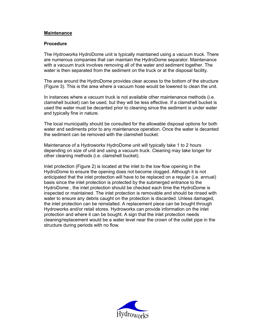#### **Maintenance**

#### **Procedure**

The Hydroworks HydroDome unit is typically maintained using a vacuum truck. There are numerous companies that can maintain the HydroDome separator. Maintenance with a vacuum truck involves removing all of the water and sediment together. The water is then separated from the sediment on the truck or at the disposal facility.

The area around the HydroDome provides clear access to the bottom of the structure (Figure 3). This is the area where a vacuum hose would be lowered to clean the unit.

In instances where a vacuum truck is not available other maintenance methods (i.e. clamshell bucket) can be used, but they will be less effective. If a clamshell bucket is used the water must be decanted prior to cleaning since the sediment is under water and typically fine in nature.

The local municipality should be consulted for the allowable disposal options for both water and sediments prior to any maintenance operation. Once the water is decanted the sediment can be removed with the clamshell bucket.

Maintenance of a Hydroworks HydroDome unit will typically take 1 to 2 hours depending on size of unit and using a vacuum truck. Cleaning may take longer for other cleaning methods (i.e. clamshell bucket).

Inlet protection (Figure 2) is located at the inlet to the low flow opening in the HydroDome to ensure the opening does not become clogged. Although it is not anticipated that the inlet protection will have to be replaced on a regular (i.e. annual) basis since the inlet protection is protected by the submerged entrance to the HydroDome , the inlet protection should be checked each time the HydroDome is inspected or maintained. The inlet protection is removable and should be rinsed with water to ensure any debris caught on the protection is discarded. Unless damaged, the inlet protection can be reinstalled. A replacement piece can be bought through Hydroworks and/or retail stores. Hydroworks can provide information on the inlet protection and where it can be bought. A sign that the inlet protection needs cleaning/replacement would be a water level near the crown of the outlet pipe in the structure during periods with no flow.

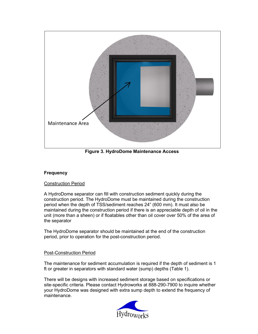

**Figure 3. HydroDome Maintenance Access**

#### **Frequency**

#### Construction Period

A HydroDome separator can fill with construction sediment quickly during the construction period. The HydroDome must be maintained during the construction period when the depth of TSS/sediment reaches 24" (600 mm). It must also be maintained during the construction period if there is an appreciable depth of oil in the unit (more than a sheen) or if floatables other than oil cover over 50% of the area of the separator

The HydroDome separator should be maintained at the end of the construction period, prior to operation for the post-construction period.

#### Post-Construction Period

The maintenance for sediment accumulation is required if the depth of sediment is 1 ft or greater in separators with standard water (sump) depths (Table 1).

There will be designs with increased sediment storage based on specifications or site-specific criteria. Please contact Hydroworks at 888-290-7900 to inquire whether your HydroDome was designed with extra sump depth to extend the frequency of maintenance.

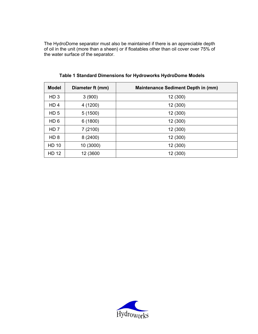The HydroDome separator must also be maintained if there is an appreciable depth of oil in the unit (more than a sheen) or if floatables other than oil cover over 75% of the water surface of the separator.

| <b>Model</b>    | Diameter ft (mm) | <b>Maintenance Sediment Depth in (mm)</b> |
|-----------------|------------------|-------------------------------------------|
| HD <sub>3</sub> | 3(900)           | 12 (300)                                  |
| HD <sub>4</sub> | 4 (1200)         | 12 (300)                                  |
| HD <sub>5</sub> | 5(1500)          | 12 (300)                                  |
| HD <sub>6</sub> | 6 (1800)         | 12 (300)                                  |
| HD <sub>7</sub> | 7 (2100)         | 12 (300)                                  |
| HD <sub>8</sub> | 8(2400)          | 12 (300)                                  |
| <b>HD 10</b>    | 10 (3000)        | 12 (300)                                  |
| <b>HD 12</b>    | 12 (3600         | 12 (300)                                  |

**Table 1 Standard Dimensions for Hydroworks HydroDome Models**

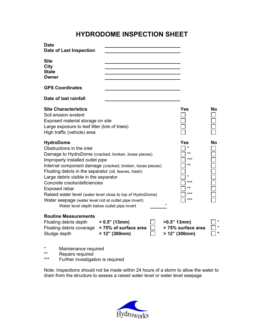## **HYDRODOME INSPECTION SHEET**

| <b>Date</b><br>Date of Last Inspection                                                                                                                                                                                                                                                                                                                                                                                                                                                                                                                                                                                               |                                                             |    |                                                       |         |
|--------------------------------------------------------------------------------------------------------------------------------------------------------------------------------------------------------------------------------------------------------------------------------------------------------------------------------------------------------------------------------------------------------------------------------------------------------------------------------------------------------------------------------------------------------------------------------------------------------------------------------------|-------------------------------------------------------------|----|-------------------------------------------------------|---------|
| <b>Site</b><br>City<br><b>State</b><br>Owner                                                                                                                                                                                                                                                                                                                                                                                                                                                                                                                                                                                         |                                                             |    |                                                       |         |
| <b>GPS Coordinates</b>                                                                                                                                                                                                                                                                                                                                                                                                                                                                                                                                                                                                               |                                                             |    |                                                       |         |
| Date of last rainfall                                                                                                                                                                                                                                                                                                                                                                                                                                                                                                                                                                                                                |                                                             |    |                                                       |         |
| <b>Site Characteristics</b><br>Soil erosion evident<br>Exposed material storage on site<br>Large exposure to leaf litter (lots of trees)<br>High traffic (vehicle) area                                                                                                                                                                                                                                                                                                                                                                                                                                                              | Yes                                                         | No |                                                       |         |
| <b>HydroDome</b><br>Yes<br>No<br>*<br>Obstructions in the inlet<br>$***$<br>Damage to HydroDome (cracked, broken, loose pieces)<br>***<br>Improperly installed outlet pipe<br>$***$<br>Internal component damage (cracked, broken, loose pieces)<br>Floating debris in the separator (oil, leaves, trash)<br>*<br>Large debris visible in the separator<br>$***$<br>Concrete cracks/deficiencies<br>$***$<br><b>Exposed rebar</b><br>***<br>Raised water level (water level close to top of HydroDome)<br>$***$<br>Water seepage (water level not at outlet pipe invert)<br>$\epsilon$<br>Water level depth below outlet pipe invert |                                                             |    |                                                       |         |
| <b>Routine Measurements</b><br>Floating debris depth<br>Floating debris coverage<br>Sludge depth                                                                                                                                                                                                                                                                                                                                                                                                                                                                                                                                     | $< 0.5"$ (13mm)<br>< 75% of surface area<br>$<$ 12" (300mm) |    | $>0.5"$ 13mm)<br>> 75% surface area<br>$>12"$ (300mm) | $\star$ |

- \* Maintenance required<br>\*\* Repairs required
- \*\* Repairs required<br>\*\*\* Further investigat
- Further investigation is required

Note: Inspections should not be made within 24 hours of a storm to allow the water to drain from the structure to assess a raised water level or water level seepage

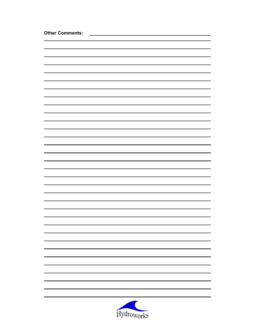| <b>Other Comments:</b> |            |  |  |  |
|------------------------|------------|--|--|--|
|                        |            |  |  |  |
|                        |            |  |  |  |
|                        |            |  |  |  |
|                        |            |  |  |  |
|                        |            |  |  |  |
|                        |            |  |  |  |
|                        |            |  |  |  |
|                        |            |  |  |  |
|                        |            |  |  |  |
|                        |            |  |  |  |
|                        |            |  |  |  |
|                        |            |  |  |  |
|                        |            |  |  |  |
|                        |            |  |  |  |
|                        |            |  |  |  |
|                        |            |  |  |  |
|                        |            |  |  |  |
|                        |            |  |  |  |
|                        |            |  |  |  |
|                        |            |  |  |  |
|                        |            |  |  |  |
|                        |            |  |  |  |
|                        |            |  |  |  |
|                        |            |  |  |  |
|                        |            |  |  |  |
|                        |            |  |  |  |
|                        |            |  |  |  |
|                        |            |  |  |  |
|                        |            |  |  |  |
|                        |            |  |  |  |
|                        |            |  |  |  |
|                        |            |  |  |  |
|                        |            |  |  |  |
|                        |            |  |  |  |
|                        |            |  |  |  |
|                        |            |  |  |  |
|                        |            |  |  |  |
|                        | Hydroworks |  |  |  |